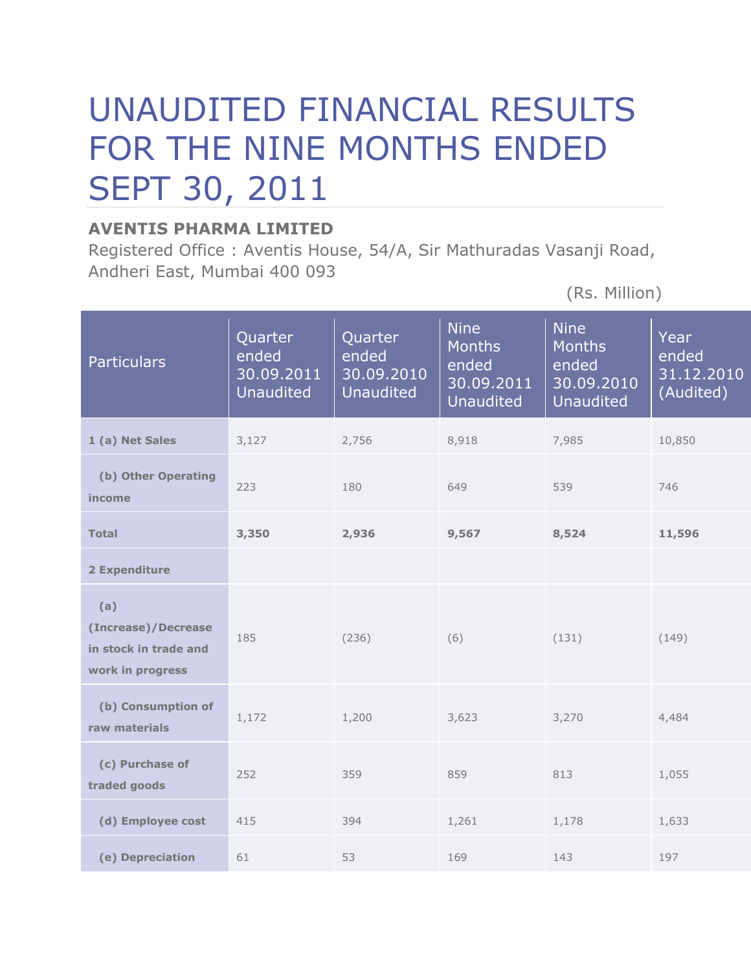## UNAUDITED FINANCIAL RESULTS FOR THE NINE MONTHS ENDED SEPT 30, 2011

## **AVENTIS PHARMA LIMITED**

Registered Office : Aventis House, 54/A, Sir Mathuradas Vasanji Road, Andheri East, Mumbai 400 093

(Rs. Million)

| <b>Particulars</b>                                                      | Quarter<br>ended<br>30.09.2011<br><b>Unaudited</b> | Quarter<br>ended<br>30.09.2010<br><b>Unaudited</b> | <b>Nine</b><br><b>Months</b><br>ended<br>30.09.2011<br><b>Unaudited</b> | <b>Nine</b><br><b>Months</b><br>ended<br>30.09.2010<br><b>Unaudited</b> | Year<br>ended<br>31.12.2010<br>(Audited) |  |
|-------------------------------------------------------------------------|----------------------------------------------------|----------------------------------------------------|-------------------------------------------------------------------------|-------------------------------------------------------------------------|------------------------------------------|--|
| 1 (a) Net Sales                                                         | 3,127                                              | 2,756                                              | 8,918                                                                   | 7,985                                                                   | 10,850                                   |  |
| (b) Other Operating<br>income                                           | 223                                                | 180                                                | 649                                                                     | 539                                                                     | 746                                      |  |
| <b>Total</b>                                                            | 3,350                                              | 2,936                                              | 9,567                                                                   | 8,524                                                                   | 11,596                                   |  |
| 2 Expenditure                                                           |                                                    |                                                    |                                                                         |                                                                         |                                          |  |
| (a)<br>(Increase)/Decrease<br>in stock in trade and<br>work in progress | 185                                                | (236)                                              | (6)                                                                     | (131)                                                                   | (149)                                    |  |
| (b) Consumption of<br>raw materials                                     | 1,172                                              | 1,200                                              | 3,623                                                                   | 3,270                                                                   | 4,484                                    |  |
| (c) Purchase of<br>traded goods                                         | 252                                                | 359                                                | 859                                                                     | 813                                                                     | 1,055                                    |  |
| (d) Employee cost                                                       | 415                                                | 394                                                | 1,261                                                                   | 1,178                                                                   | 1,633                                    |  |
| (e) Depreciation                                                        | 61                                                 | 53                                                 | 169                                                                     | 143                                                                     | 197                                      |  |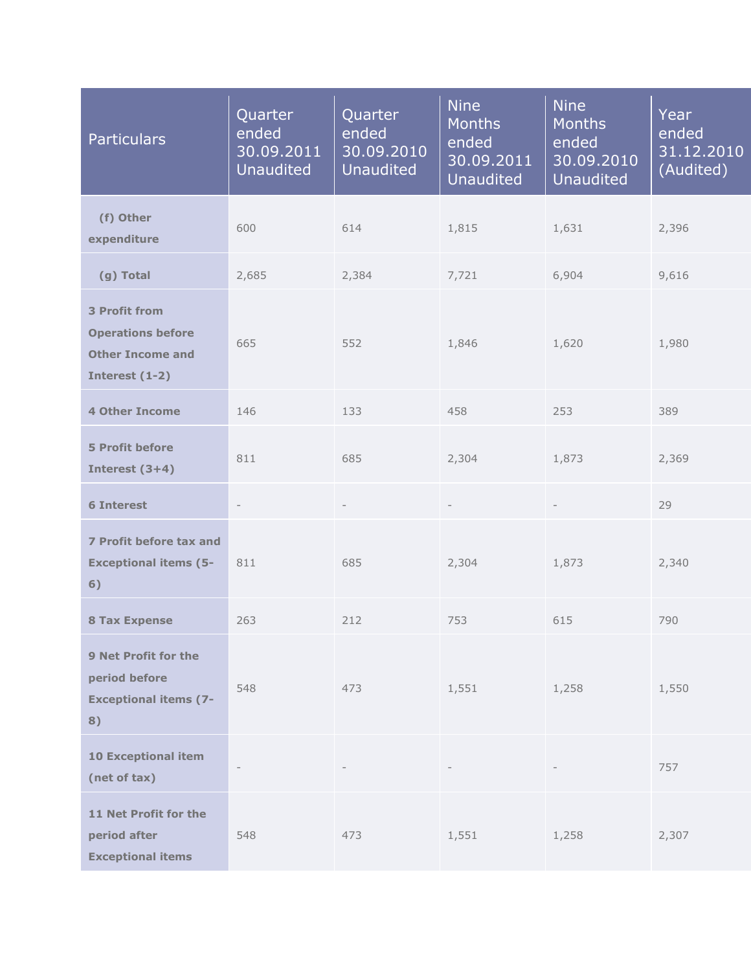| <b>Particulars</b>                                                                                   | Quarter<br>ended<br>30.09.2011<br><b>Unaudited</b> | Quarter<br>ended<br>30.09.2010<br><b>Unaudited</b> | <b>Nine</b><br><b>Months</b><br>ended<br>30.09.2011<br><b>Unaudited</b> | <b>Nine</b><br>Months<br>ended<br>30.09.2010<br><b>Unaudited</b> | Year<br>ended<br>31.12.2010<br>(Audited) |
|------------------------------------------------------------------------------------------------------|----------------------------------------------------|----------------------------------------------------|-------------------------------------------------------------------------|------------------------------------------------------------------|------------------------------------------|
| (f) Other<br>expenditure                                                                             | 600                                                | 614                                                | 1,815                                                                   | 1,631                                                            | 2,396                                    |
| (g) Total                                                                                            | 2,685                                              | 2,384                                              | 7,721                                                                   | 6,904                                                            | 9,616                                    |
| <b>3 Profit from</b><br><b>Operations before</b><br>665<br><b>Other Income and</b><br>Interest (1-2) |                                                    | 552                                                | 1,846                                                                   | 1,620                                                            | 1,980                                    |
| <b>4 Other Income</b>                                                                                | 146                                                | 133                                                | 458                                                                     | 253                                                              | 389                                      |
| <b>5 Profit before</b><br>Interest $(3+4)$                                                           | 811                                                | 685                                                | 2,304                                                                   | 1,873                                                            | 2,369                                    |
| <b>6 Interest</b>                                                                                    |                                                    |                                                    |                                                                         |                                                                  | 29                                       |
| 7 Profit before tax and<br><b>Exceptional items (5-</b><br>6)                                        | 811                                                | 685                                                | 2,304                                                                   | 1,873                                                            | 2,340                                    |
| <b>8 Tax Expense</b>                                                                                 | 263                                                | 212                                                | 753                                                                     | 615                                                              | 790                                      |
| 9 Net Profit for the<br>period before<br><b>Exceptional items (7-</b><br>8)                          | 548                                                | 473                                                | 1,551                                                                   | 1,258                                                            | 1,550                                    |
| <b>10 Exceptional item</b><br>(net of tax)                                                           | $\overline{\phantom{a}}$                           |                                                    |                                                                         |                                                                  | 757                                      |
| 11 Net Profit for the<br>period after<br><b>Exceptional items</b>                                    | 548                                                | 473                                                | 1,551                                                                   | 1,258                                                            | 2,307                                    |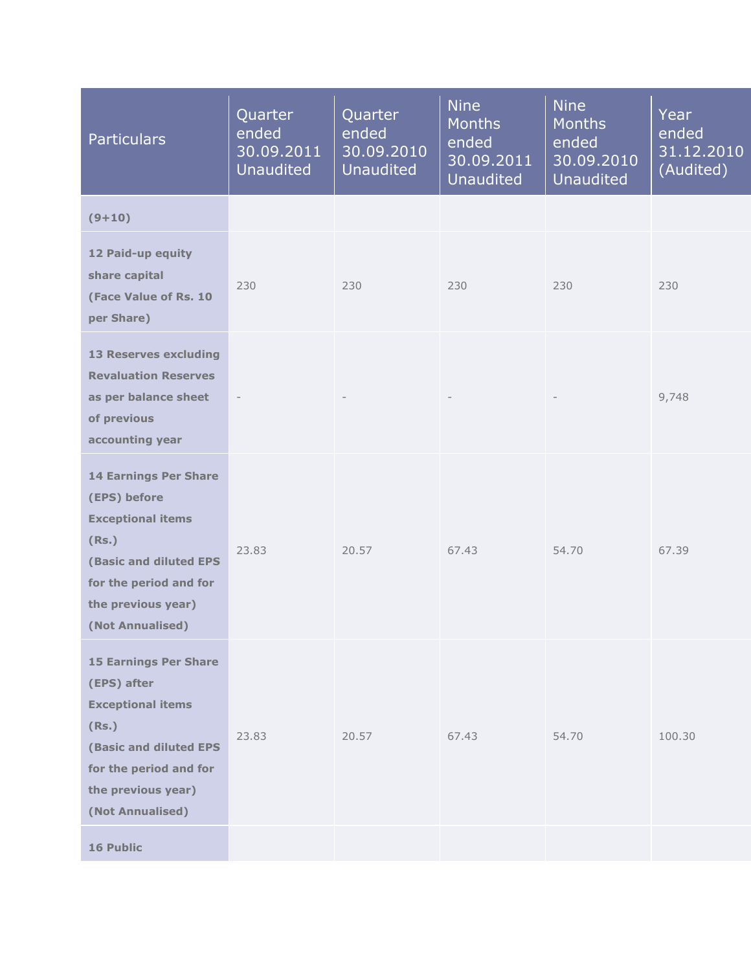| <b>Particulars</b>                                                                                                                                                                     | Quarter<br>ended<br>30.09.2011<br><b>Unaudited</b> | Quarter<br>ended<br>30.09.2010<br><b>Unaudited</b> | <b>Nine</b><br><b>Months</b><br>ended<br>30.09.2011<br><b>Unaudited</b> | <b>Nine</b><br><b>Months</b><br>ended<br>30.09.2010<br><b>Unaudited</b> | Year<br>ended<br>31.12.2010<br>(Audited) |
|----------------------------------------------------------------------------------------------------------------------------------------------------------------------------------------|----------------------------------------------------|----------------------------------------------------|-------------------------------------------------------------------------|-------------------------------------------------------------------------|------------------------------------------|
| $(9+10)$                                                                                                                                                                               |                                                    |                                                    |                                                                         |                                                                         |                                          |
| 12 Paid-up equity<br>share capital<br>(Face Value of Rs. 10<br>per Share)                                                                                                              | 230                                                | 230                                                | 230                                                                     | 230                                                                     | 230                                      |
| <b>13 Reserves excluding</b><br><b>Revaluation Reserves</b><br>as per balance sheet<br>of previous<br>accounting year                                                                  |                                                    |                                                    |                                                                         |                                                                         | 9,748                                    |
| <b>14 Earnings Per Share</b><br>(EPS) before<br><b>Exceptional items</b><br>(Rs.)<br><b>(Basic and diluted EPS</b><br>for the period and for<br>the previous year)<br>(Not Annualised) | 23.83                                              | 20.57                                              | 67.43                                                                   | 54.70                                                                   | 67.39                                    |
| <b>15 Earnings Per Share</b><br>(EPS) after<br><b>Exceptional items</b><br>(Rs.)<br>(Basic and diluted EPS<br>for the period and for<br>the previous year)<br>(Not Annualised)         | 23.83                                              | 20.57                                              | 67.43                                                                   | 54.70                                                                   | 100.30                                   |
| <b>16 Public</b>                                                                                                                                                                       |                                                    |                                                    |                                                                         |                                                                         |                                          |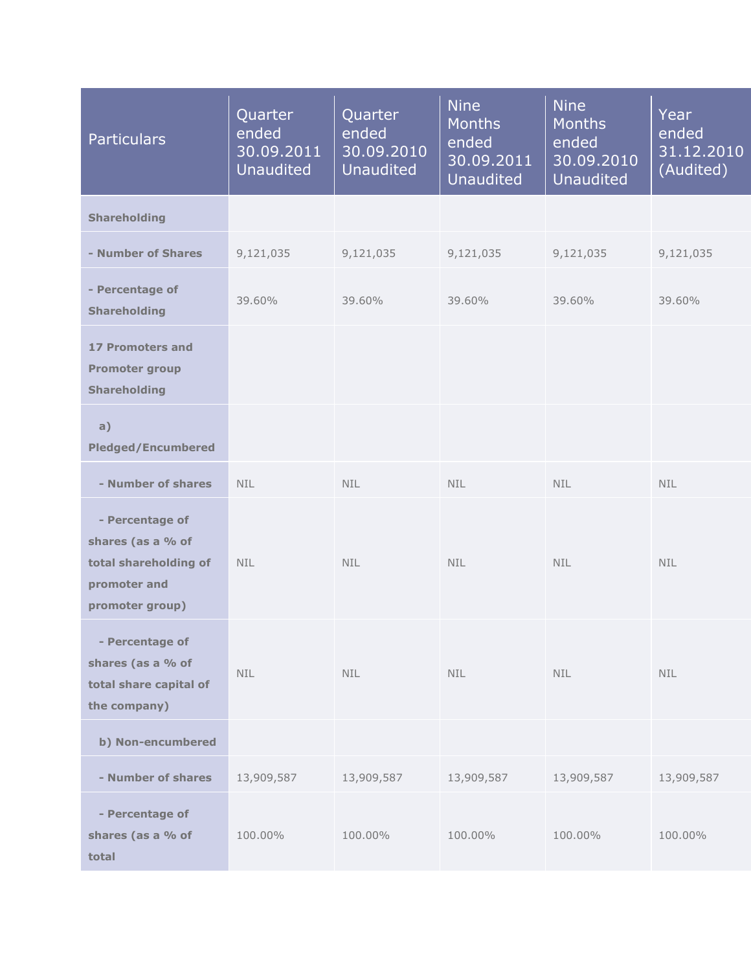| <b>Particulars</b>                                                                               | Quarter<br>ended<br>30.09.2011<br><b>Unaudited</b> | Quarter<br>ended<br>30.09.2010<br><b>Unaudited</b> | <b>Nine</b><br><b>Months</b><br>ended<br>30.09.2011<br><b>Unaudited</b> | <b>Nine</b><br><b>Months</b><br>ended<br>30.09.2010<br><b>Unaudited</b> | Year<br>ended<br>31.12.2010<br>(Audited) |
|--------------------------------------------------------------------------------------------------|----------------------------------------------------|----------------------------------------------------|-------------------------------------------------------------------------|-------------------------------------------------------------------------|------------------------------------------|
| <b>Shareholding</b>                                                                              |                                                    |                                                    |                                                                         |                                                                         |                                          |
| - Number of Shares                                                                               | 9,121,035                                          | 9,121,035                                          | 9,121,035                                                               | 9,121,035                                                               | 9,121,035                                |
| - Percentage of<br><b>Shareholding</b>                                                           | 39.60%                                             | 39.60%                                             | 39.60%                                                                  | 39.60%                                                                  | 39.60%                                   |
| <b>17 Promoters and</b><br><b>Promoter group</b><br><b>Shareholding</b>                          |                                                    |                                                    |                                                                         |                                                                         |                                          |
| a)<br><b>Pledged/Encumbered</b>                                                                  |                                                    |                                                    |                                                                         |                                                                         |                                          |
| - Number of shares                                                                               | <b>NIL</b>                                         | <b>NIL</b>                                         | <b>NIL</b>                                                              | <b>NIL</b>                                                              | <b>NIL</b>                               |
| - Percentage of<br>shares (as a % of<br>total shareholding of<br>promoter and<br>promoter group) | <b>NIL</b>                                         | NIL.                                               | NIL.                                                                    | <b>NIL</b>                                                              | <b>NIL</b>                               |
| - Percentage of<br>shares (as a % of<br>total share capital of<br>the company)                   | <b>NIL</b>                                         | <b>NIL</b>                                         | <b>NIL</b>                                                              | <b>NIL</b>                                                              | <b>NIL</b>                               |
| b) Non-encumbered                                                                                |                                                    |                                                    |                                                                         |                                                                         |                                          |
| - Number of shares                                                                               | 13,909,587                                         | 13,909,587                                         | 13,909,587                                                              | 13,909,587                                                              | 13,909,587                               |
| - Percentage of<br>shares (as a % of<br>total                                                    | 100.00%                                            | 100.00%                                            | 100.00%                                                                 | 100.00%                                                                 | 100.00%                                  |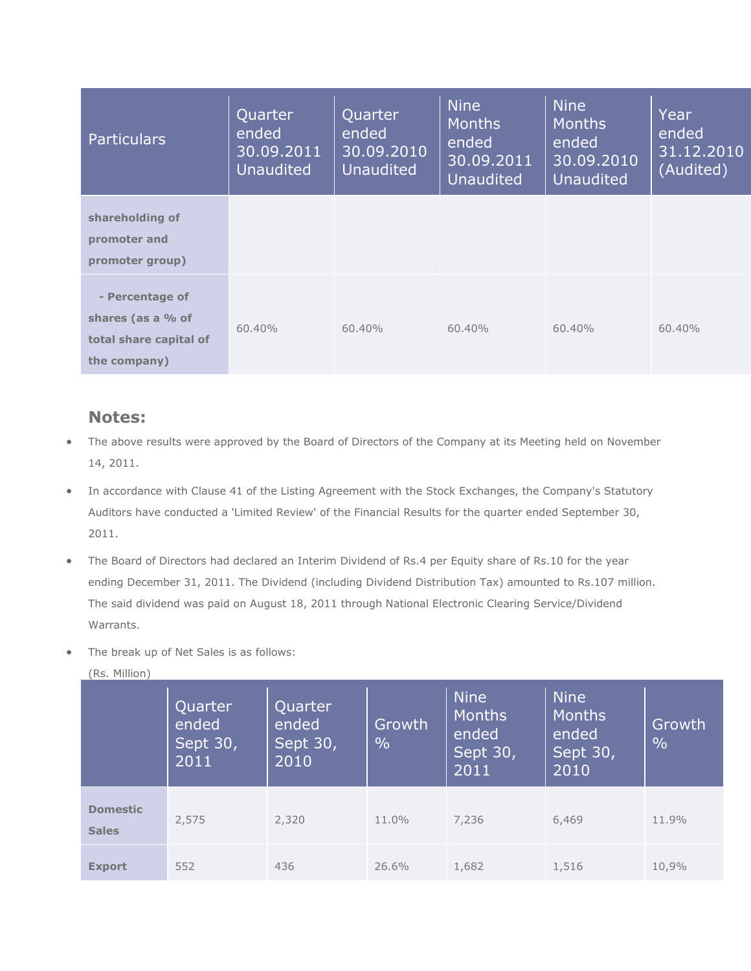| <b>Particulars</b>                                                             | Quarter<br>ended<br>$\sqrt{30.09}.2011$<br><b>Unaudited</b> | Quarter<br>ended<br>$\overline{30.09.2010}$<br><b>Unaudited</b> | <b>Nine</b><br><b>Months</b><br>ended<br>30.09.2011<br><b>Unaudited</b> | <b>Nine</b><br><b>Months</b><br>ended<br>30.09.2010<br><b>Unaudited</b> | Year<br>ended<br>31.12.2010<br>(Audited) |
|--------------------------------------------------------------------------------|-------------------------------------------------------------|-----------------------------------------------------------------|-------------------------------------------------------------------------|-------------------------------------------------------------------------|------------------------------------------|
| shareholding of<br>promoter and<br>promoter group)                             |                                                             |                                                                 |                                                                         |                                                                         |                                          |
| - Percentage of<br>shares (as a % of<br>total share capital of<br>the company) | $60.40\%$                                                   | $60.40\%$                                                       | 60.40%                                                                  | 60.40%                                                                  | 60.40%                                   |

## **Notes:**

- The above results were approved by the Board of Directors of the Company at its Meeting held on November 14, 2011.
- In accordance with Clause 41 of the Listing Agreement with the Stock Exchanges, the Company's Statutory Auditors have conducted a 'Limited Review' of the Financial Results for the quarter ended September 30, 2011.
- The Board of Directors had declared an Interim Dividend of Rs.4 per Equity share of Rs.10 for the year ending December 31, 2011. The Dividend (including Dividend Distribution Tax) amounted to Rs.107 million. The said dividend was paid on August 18, 2011 through National Electronic Clearing Service/Dividend Warrants.
- The break up of Net Sales is as follows:

| ,w <i>.</i>                     | Quarter<br>ended<br>Sept 30,<br>2011 | Quarter<br>ended<br>Sept 30,<br>2010 | Growth<br>$\frac{0}{0}$ | <b>Nine</b><br><b>Months</b><br>ended<br>Sept 30,<br>2011 | <b>Nine</b><br><b>Months</b><br>ended<br>Sept 30,<br>2010 | Growth<br>$\frac{0}{0}$ |
|---------------------------------|--------------------------------------|--------------------------------------|-------------------------|-----------------------------------------------------------|-----------------------------------------------------------|-------------------------|
| <b>Domestic</b><br><b>Sales</b> | 2,575                                | 2,320                                | 11.0%                   | 7,236                                                     | 6,469                                                     | 11.9%                   |
| <b>Export</b>                   | 552                                  | 436                                  | 26.6%                   | 1,682                                                     | 1,516                                                     | 10,9%                   |

(Rs. Million)